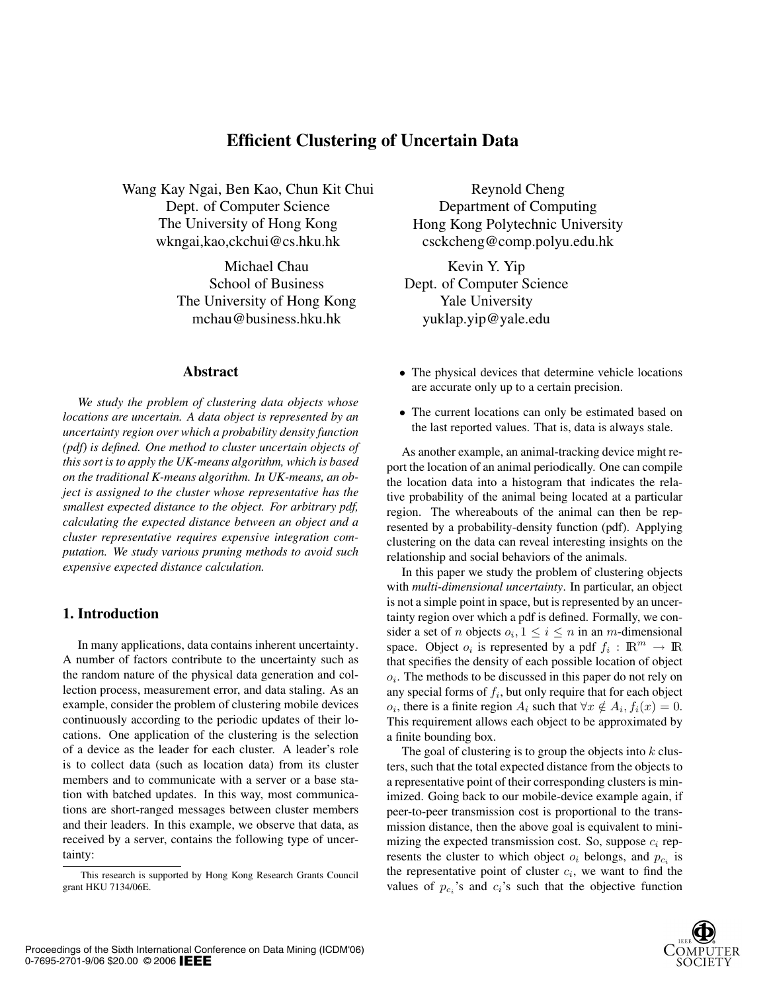# Efficient Clustering of Uncertain Data

Wang Kay Ngai, Ben Kao, Chun Kit Chui Dept. of Computer Science The University of Hong Kong wkngai,kao,ckchui@cs.hku.hk

> Michael Chau School of Business The University of Hong Kong mchau@business.hku.hk

# Abstract

*We study the problem of clustering data objects whose locations are uncertain. A data object is represented by an uncertainty region over which a probability density function (pdf) is defined. One method to cluster uncertain objects of this sort is to apply the UK-means algorithm, which is based on the traditional K-means algorithm. In UK-means, an object is assigned to the cluster whose representative has the smallest expected distance to the object. For arbitrary pdf, calculating the expected distance between an object and a cluster representative requires expensive integration computation. We study various pruning methods to avoid such expensive expected distance calculation.*

# 1. Introduction

In many applications, data contains inherent uncertainty. A number of factors contribute to the uncertainty such as the random nature of the physical data generation and collection process, measurement error, and data staling. As an example, consider the problem of clustering mobile devices continuously according to the periodic updates of their locations. One application of the clustering is the selection of a device as the leader for each cluster. A leader's role is to collect data (such as location data) from its cluster members and to communicate with a server or a base station with batched updates. In this way, most communications are short-ranged messages between cluster members and their leaders. In this example, we observe that data, as received by a server, contains the following type of uncertainty:

Reynold Cheng Department of Computing Hong Kong Polytechnic University csckcheng@comp.polyu.edu.hk

Kevin Y. Yip Dept. of Computer Science Yale University yuklap.yip@yale.edu

- The physical devices that determine vehicle locations are accurate only up to a certain precision.
- The current locations can only be estimated based on the last reported values. That is, data is always stale.

As another example, an animal-tracking device might report the location of an animal periodically. One can compile the location data into a histogram that indicates the relative probability of the animal being located at a particular region. The whereabouts of the animal can then be represented by a probability-density function (pdf). Applying clustering on the data can reveal interesting insights on the relationship and social behaviors of the animals.

In this paper we study the problem of clustering objects with *multi-dimensional uncertainty*. In particular, an object is not a simple point in space, but is represented by an uncertainty region over which a pdf is defined. Formally, we consider a set of *n* objects  $o_i, 1 \le i \le n$  in an *m*-dimensional space. Object  $o_i$  is represented by a pdf  $f_i : \mathbb{R}^m \to \mathbb{R}$ that specifies the density of each possible location of object  $o_i$ . The methods to be discussed in this paper do not rely on any special forms of  $f_i$ , but only require that for each object  $o_i$ , there is a finite region  $A_i$  such that  $\forall x \notin A_i$ ,  $f_i(x) = 0$ . This requirement allows each object to be approximated by a finite bounding box.

The goal of clustering is to group the objects into  $k$  clusters, such that the total expected distance from the objects to a representative point of their corresponding clusters is minimized. Going back to our mobile-device example again, if peer-to-peer transmission cost is proportional to the transmission distance, then the above goal is equivalent to minimizing the expected transmission cost. So, suppose  $c_i$  represents the cluster to which object  $o_i$  belongs, and  $p_{c_i}$  is the representative point of cluster  $c_i$ , we want to find the values of  $p_{c_i}$ 's and  $c_i$ 's such that the objective function



This research is supported by Hong Kong Research Grants Council grant HKU 7134/06E.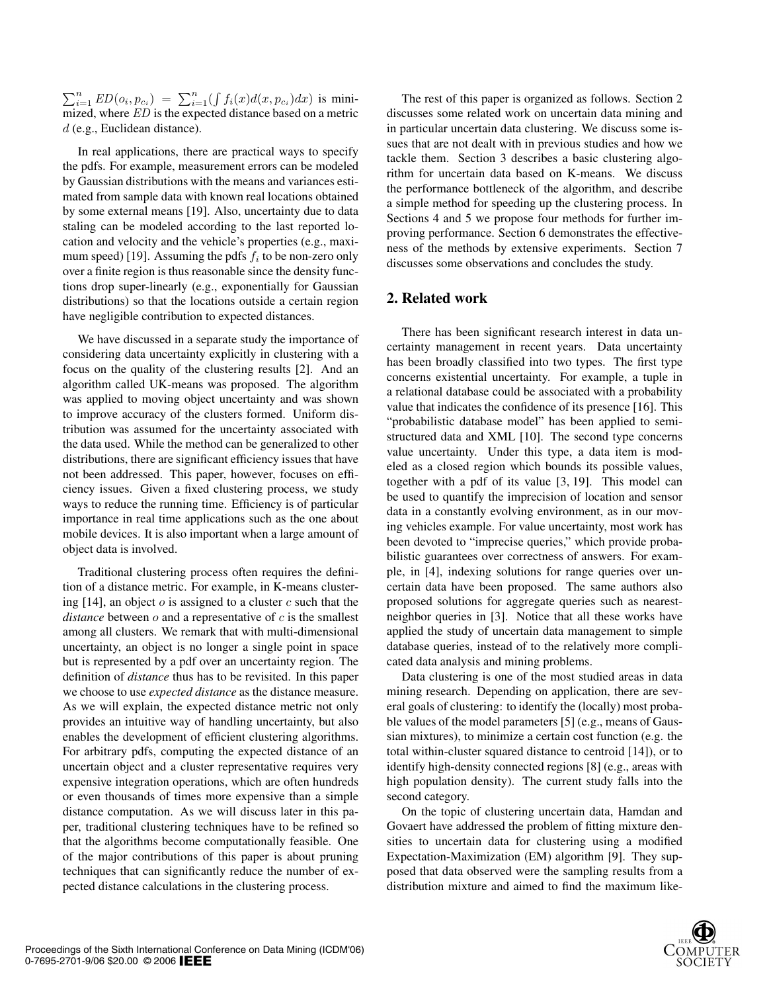$\sum_{i=1}^{n} ED(o_i, p_{c_i}) = \sum_{i=1}^{n} (\int f_i(x)d(x, p_{c_i})dx)$  is minimized, where ED is the expected distance based on a metric d (e.g., Euclidean distance).

In real applications, there are practical ways to specify the pdfs. For example, measurement errors can be modeled by Gaussian distributions with the means and variances estimated from sample data with known real locations obtained by some external means [19]. Also, uncertainty due to data staling can be modeled according to the last reported location and velocity and the vehicle's properties (e.g., maximum speed) [19]. Assuming the pdfs  $f_i$  to be non-zero only over a finite region is thus reasonable since the density functions drop super-linearly (e.g., exponentially for Gaussian distributions) so that the locations outside a certain region have negligible contribution to expected distances.

We have discussed in a separate study the importance of considering data uncertainty explicitly in clustering with a focus on the quality of the clustering results [2]. And an algorithm called UK-means was proposed. The algorithm was applied to moving object uncertainty and was shown to improve accuracy of the clusters formed. Uniform distribution was assumed for the uncertainty associated with the data used. While the method can be generalized to other distributions, there are significant efficiency issues that have not been addressed. This paper, however, focuses on efficiency issues. Given a fixed clustering process, we study ways to reduce the running time. Efficiency is of particular importance in real time applications such as the one about mobile devices. It is also important when a large amount of object data is involved.

Traditional clustering process often requires the definition of a distance metric. For example, in K-means clustering [14], an object  $\sigma$  is assigned to a cluster  $\sigma$  such that the *distance* between  $o$  and a representative of  $c$  is the smallest among all clusters. We remark that with multi-dimensional uncertainty, an object is no longer a single point in space but is represented by a pdf over an uncertainty region. The definition of *distance* thus has to be revisited. In this paper we choose to use *expected distance* as the distance measure. As we will explain, the expected distance metric not only provides an intuitive way of handling uncertainty, but also enables the development of efficient clustering algorithms. For arbitrary pdfs, computing the expected distance of an uncertain object and a cluster representative requires very expensive integration operations, which are often hundreds or even thousands of times more expensive than a simple distance computation. As we will discuss later in this paper, traditional clustering techniques have to be refined so that the algorithms become computationally feasible. One of the major contributions of this paper is about pruning techniques that can significantly reduce the number of expected distance calculations in the clustering process.

The rest of this paper is organized as follows. Section 2 discusses some related work on uncertain data mining and in particular uncertain data clustering. We discuss some issues that are not dealt with in previous studies and how we tackle them. Section 3 describes a basic clustering algorithm for uncertain data based on K-means. We discuss the performance bottleneck of the algorithm, and describe a simple method for speeding up the clustering process. In Sections 4 and 5 we propose four methods for further improving performance. Section 6 demonstrates the effectiveness of the methods by extensive experiments. Section 7 discusses some observations and concludes the study.

# 2. Related work

There has been significant research interest in data uncertainty management in recent years. Data uncertainty has been broadly classified into two types. The first type concerns existential uncertainty. For example, a tuple in a relational database could be associated with a probability value that indicates the confidence of its presence [16]. This "probabilistic database model" has been applied to semistructured data and XML [10]. The second type concerns value uncertainty. Under this type, a data item is modeled as a closed region which bounds its possible values, together with a pdf of its value [3, 19]. This model can be used to quantify the imprecision of location and sensor data in a constantly evolving environment, as in our moving vehicles example. For value uncertainty, most work has been devoted to "imprecise queries," which provide probabilistic guarantees over correctness of answers. For example, in [4], indexing solutions for range queries over uncertain data have been proposed. The same authors also proposed solutions for aggregate queries such as nearestneighbor queries in [3]. Notice that all these works have applied the study of uncertain data management to simple database queries, instead of to the relatively more complicated data analysis and mining problems.

Data clustering is one of the most studied areas in data mining research. Depending on application, there are several goals of clustering: to identify the (locally) most probable values of the model parameters [5] (e.g., means of Gaussian mixtures), to minimize a certain cost function (e.g. the total within-cluster squared distance to centroid [14]), or to identify high-density connected regions [8] (e.g., areas with high population density). The current study falls into the second category.

On the topic of clustering uncertain data, Hamdan and Govaert have addressed the problem of fitting mixture densities to uncertain data for clustering using a modified Expectation-Maximization (EM) algorithm [9]. They supposed that data observed were the sampling results from a distribution mixture and aimed to find the maximum like-

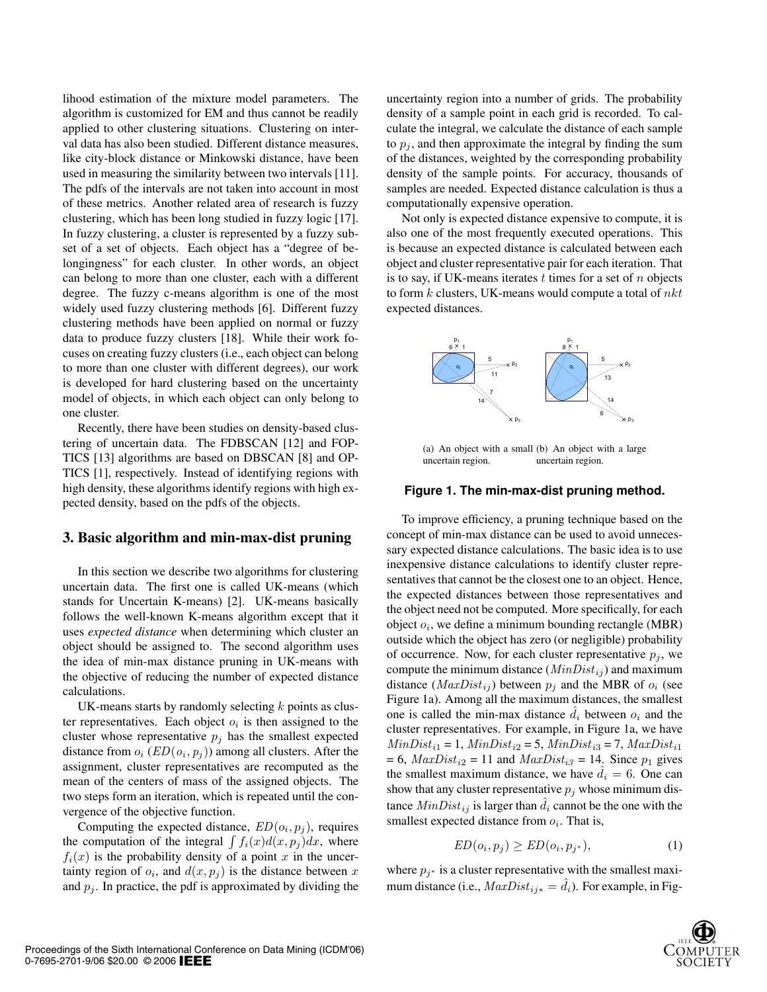lihood estimation of the mixture model parameters. The algorithm is customized for EM and thus cannot be readily applied to other clustering situations. Clustering on interval data has also been studied. Different distance measures, like city-block distance or Minkowski distance, have been used in measuring the similarity between two intervals [11]. The pdfs of the intervals are not taken into account in most of these metrics. Another related area of research is fuzzy clustering, which has been long studied in fuzzy logic [17]. In fuzzy clustering, a cluster is represented by a fuzzy subset of a set of objects. Each object has a "degree of belongingness" for each cluster. In other words, an object can belong to more than one cluster, each with a different degree. The fuzzy c-means algorithm is one of the most widely used fuzzy clustering methods [6]. Different fuzzy clustering methods have been applied on normal or fuzzy data to produce fuzzy clusters [18]. While their work focuses on creating fuzzy clusters (i.e., each object can belong to more than one cluster with different degrees), our work is developed for hard clustering based on the uncertainty model of objects, in which each object can only belong to one cluster.

Recently, there have been studies on density-based clustering of uncertain data. The FDBSCAN [12] and FOP-TICS [13] algorithms are based on DBSCAN [8] and OP-TICS [1], respectively. Instead of identifying regions with high density, these algorithms identify regions with high expected density, based on the pdfs of the objects.

## 3. Basic algorithm and min-max-dist pruning

In this section we describe two algorithms for clustering uncertain data. The first one is called UK-means (which stands for Uncertain K-means) [2]. UK-means basically follows the well-known K-means algorithm except that it uses *expected distance* when determining which cluster an object should be assigned to. The second algorithm uses the idea of min-max distance pruning in UK-means with the objective of reducing the number of expected distance calculations.

UK-means starts by randomly selecting  $k$  points as cluster representatives. Each object  $o_i$  is then assigned to the cluster whose representative  $p_j$  has the smallest expected distance from  $o_i$  ( $ED(o_i, p_j)$ ) among all clusters. After the assignment, cluster representatives are recomputed as the mean of the centers of mass of the assigned objects. The two steps form an iteration, which is repeated until the convergence of the objective function.

Computing the expected distance,  $ED(o_i, p_j)$ , requires the computation of the integral  $\int f_i(x) d(x, p_j) dx$ , where  $f_i(x)$  is the probability density of a point x in the uncertainty region of  $o_i$ , and  $d(x, p_j)$  is the distance between x and  $p_j$ . In practice, the pdf is approximated by dividing the uncertainty region into a number of grids. The probability density of a sample point in each grid is recorded. To calculate the integral, we calculate the distance of each sample to  $p_i$ , and then approximate the integral by finding the sum of the distances, weighted by the corresponding probability density of the sample points. For accuracy, thousands of samples are needed. Expected distance calculation is thus a computationally expensive operation.

Not only is expected distance expensive to compute, it is also one of the most frequently executed operations. This is because an expected distance is calculated between each object and cluster representative pair for each iteration. That is to say, if UK-means iterates  $t$  times for a set of  $n$  objects to form  $k$  clusters, UK-means would compute a total of  $nkt$ expected distances.



(a) An object with a small (b) An object with a large uncertain region. uncertain region.

#### **Figure 1. The min-max-dist pruning method.**

To improve efficiency, a pruning technique based on the concept of min-max distance can be used to avoid unnecessary expected distance calculations. The basic idea is to use inexpensive distance calculations to identify cluster representatives that cannot be the closest one to an object. Hence, the expected distances between those representatives and the object need not be computed. More specifically, for each object  $o_i$ , we define a minimum bounding rectangle (MBR) outside which the object has zero (or negligible) probability of occurrence. Now, for each cluster representative  $p_j$ , we compute the minimum distance  $(MinDist_{ij})$  and maximum distance ( $MaxDist_{ij}$ ) between  $p_j$  and the MBR of  $o_i$  (see Figure 1a). Among all the maximum distances, the smallest one is called the min-max distance  $d_i$  between  $o_i$  and the cluster representatives. For example, in Figure 1a, we have  $MinDist_{i1} = 1, MinDist_{i2} = 5, MinDist_{i3} = 7, MaxDist_{i1}$  $= 6$ ,  $MaxDist_{i2} = 11$  and  $MaxDist_{i3} = 14$ . Since  $p_1$  gives the smallest maximum distance, we have  $d_i = 6$ . One can show that any cluster representative  $p_i$  whose minimum distance  $MinDist_{ij}$  is larger than  $\hat{d}_i$  cannot be the one with the smallest expected distance from  $o_i$ . That is,

$$
ED(o_i, p_j) \ge ED(o_i, p_{j^*}),\tag{1}
$$

where  $p_{j*}$  is a cluster representative with the smallest maximum distance (i.e.,  $MaxDist_{ijk} = d_i$ ). For example, in Fig-

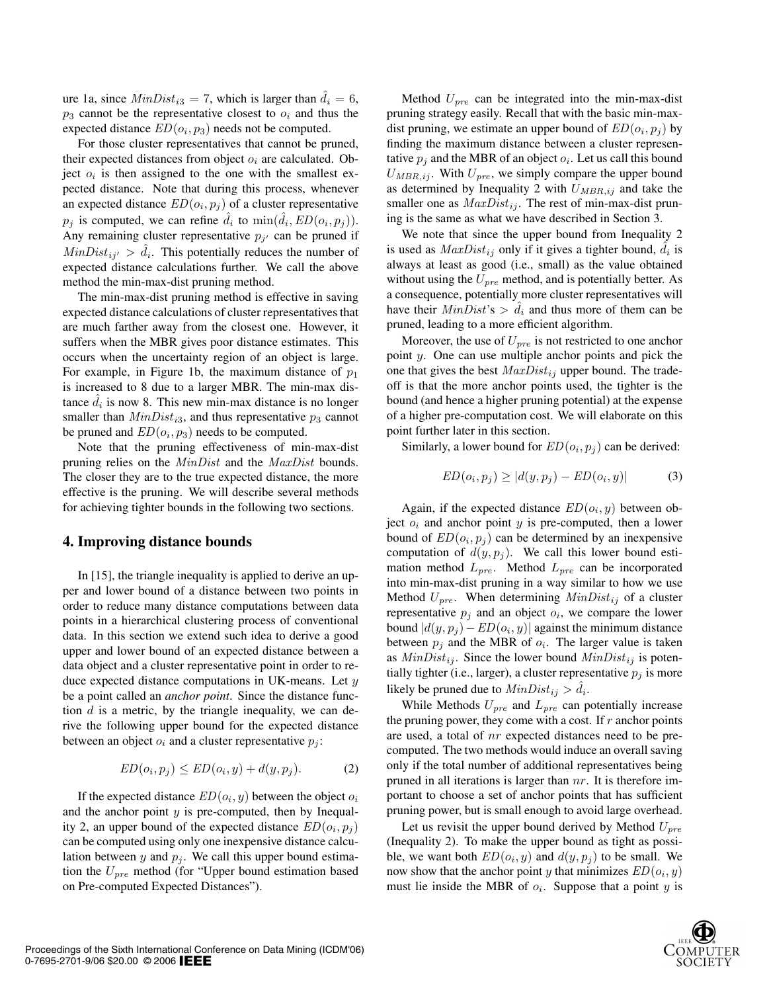ure 1a, since  $MinDist_{i3} = 7$ , which is larger than  $d_i = 6$ ,  $p_3$  cannot be the representative closest to  $o_i$  and thus the expected distance  $ED(o_i, p_3)$  needs not be computed.

For those cluster representatives that cannot be pruned, their expected distances from object  $o_i$  are calculated. Object  $o_i$  is then assigned to the one with the smallest expected distance. Note that during this process, whenever an expected distance  $ED(o_i, p_j)$  of a cluster representative  $p_j$  is computed, we can refine  $\hat{d}_i$  to  $\min(\hat{d}_i, ED(o_i, p_j)).$ Any remaining cluster representative  $p_{j'}$  can be pruned if  $MinDist_{ij'} > \hat{d_i}$ . This potentially reduces the number of expected distance calculations further. We call the above method the min-max-dist pruning method.

The min-max-dist pruning method is effective in saving expected distance calculations of cluster representatives that are much farther away from the closest one. However, it suffers when the MBR gives poor distance estimates. This occurs when the uncertainty region of an object is large. For example, in Figure 1b, the maximum distance of  $p_1$ is increased to 8 due to a larger MBR. The min-max distance  $\hat{d}_i$  is now 8. This new min-max distance is no longer smaller than  $MinDist_{i3}$ , and thus representative  $p_3$  cannot be pruned and  $ED(o_i, p_3)$  needs to be computed.

Note that the pruning effectiveness of min-max-dist pruning relies on the MinDist and the MaxDist bounds. The closer they are to the true expected distance, the more effective is the pruning. We will describe several methods for achieving tighter bounds in the following two sections.

### 4. Improving distance bounds

In [15], the triangle inequality is applied to derive an upper and lower bound of a distance between two points in order to reduce many distance computations between data points in a hierarchical clustering process of conventional data. In this section we extend such idea to derive a good upper and lower bound of an expected distance between a data object and a cluster representative point in order to reduce expected distance computations in UK-means. Let  $y$ be a point called an *anchor point*. Since the distance function  $d$  is a metric, by the triangle inequality, we can derive the following upper bound for the expected distance between an object  $o_i$  and a cluster representative  $p_i$ :

$$
ED(o_i, p_j) \le ED(o_i, y) + d(y, p_j). \tag{2}
$$

If the expected distance  $ED(o_i, y)$  between the object  $o_i$ and the anchor point  $y$  is pre-computed, then by Inequality 2, an upper bound of the expected distance  $ED(o_i, p_j)$ can be computed using only one inexpensive distance calculation between y and  $p_i$ . We call this upper bound estimation the  $U_{pre}$  method (for "Upper bound estimation based on Pre-computed Expected Distances").

Method  $U_{pre}$  can be integrated into the min-max-dist pruning strategy easily. Recall that with the basic min-maxdist pruning, we estimate an upper bound of  $ED(o_i, p_j)$  by finding the maximum distance between a cluster representative  $p_j$  and the MBR of an object  $o_i$ . Let us call this bound  $U_{MBR,ij}$ . With  $U_{pre}$ , we simply compare the upper bound as determined by Inequality 2 with  $U_{MBR,ij}$  and take the smaller one as  $MaxDist_{ij}$ . The rest of min-max-dist pruning is the same as what we have described in Section 3.

We note that since the upper bound from Inequality 2 is used as  $MaxDist_{ij}$  only if it gives a tighter bound,  $\hat{d}_i$  is always at least as good (i.e., small) as the value obtained without using the  $U_{\text{pre}}$  method, and is potentially better. As a consequence, potentially more cluster representatives will have their  $MinDist$ 's  $> d_i$  and thus more of them can be pruned, leading to a more efficient algorithm.

Moreover, the use of  $U_{pre}$  is not restricted to one anchor point y. One can use multiple anchor points and pick the one that gives the best  $MaxDist_{ij}$  upper bound. The tradeoff is that the more anchor points used, the tighter is the bound (and hence a higher pruning potential) at the expense of a higher pre-computation cost. We will elaborate on this point further later in this section.

Similarly, a lower bound for  $ED(o_i, p_j)$  can be derived:

$$
ED(o_i, p_j) \ge |d(y, p_j) - ED(o_i, y)| \tag{3}
$$

Again, if the expected distance  $ED(o_i, y)$  between object  $o_i$  and anchor point  $y$  is pre-computed, then a lower bound of  $ED(o_i, p_j)$  can be determined by an inexpensive computation of  $d(y, p_j)$ . We call this lower bound estimation method  $L_{pre}$ . Method  $L_{pre}$  can be incorporated into min-max-dist pruning in a way similar to how we use Method  $U_{pre}$ . When determining  $MinDist_{ij}$  of a cluster representative  $p_j$  and an object  $o_i$ , we compare the lower bound  $|d(y, p_j) - ED(o_i, y)|$  against the minimum distance between  $p_j$  and the MBR of  $o_i$ . The larger value is taken as  $MinDist_{ij}$ . Since the lower bound  $MinDist_{ij}$  is potentially tighter (i.e., larger), a cluster representative  $p_j$  is more likely be pruned due to  $MinDist_{ij} > \hat{d}_i$ .

While Methods  $U_{pre}$  and  $L_{pre}$  can potentially increase the pruning power, they come with a cost. If  $r$  anchor points are used, a total of nr expected distances need to be precomputed. The two methods would induce an overall saving only if the total number of additional representatives being pruned in all iterations is larger than nr. It is therefore important to choose a set of anchor points that has sufficient pruning power, but is small enough to avoid large overhead.

Let us revisit the upper bound derived by Method  $U_{pre}$ (Inequality 2). To make the upper bound as tight as possible, we want both  $ED(o_i, y)$  and  $d(y, p_j)$  to be small. We now show that the anchor point y that minimizes  $ED(o_i, y)$ must lie inside the MBR of  $o_i$ . Suppose that a point y is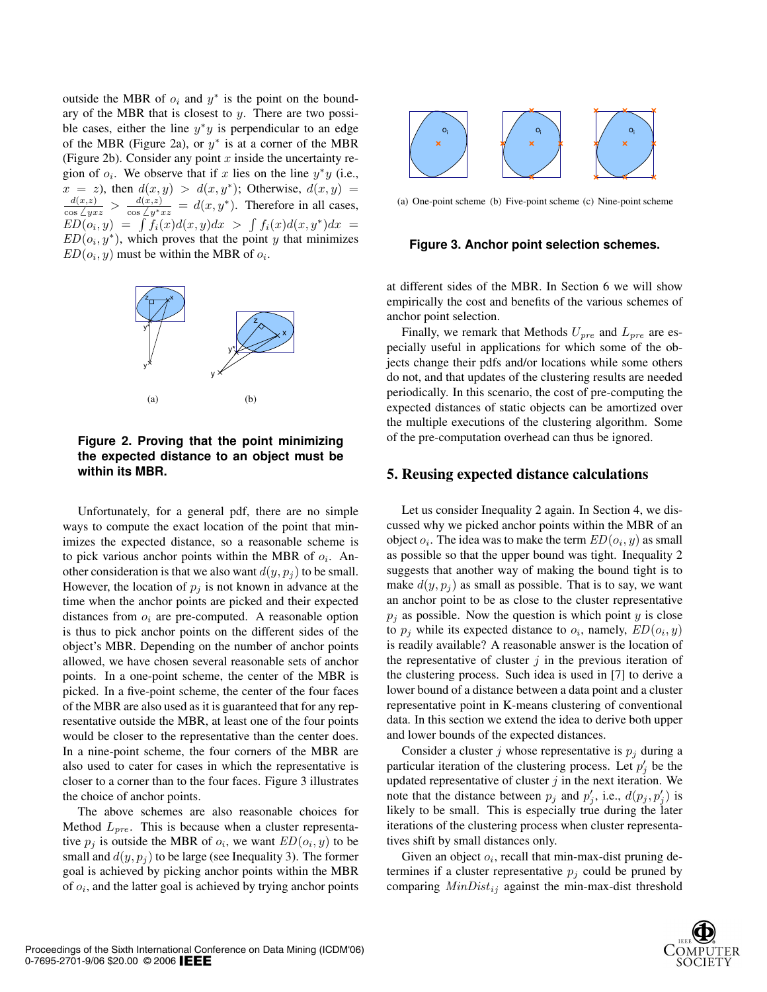outside the MBR of  $o_i$  and  $y^*$  is the point on the boundary of the MBR that is closest to  $y$ . There are two possible cases, either the line  $y^*y$  is perpendicular to an edge of the MBR (Figure 2a), or  $y^*$  is at a corner of the MBR (Figure 2b). Consider any point  $x$  inside the uncertainty region of  $o_i$ . We observe that if x lies on the line  $y^*y$  (i.e.,  $x = z$ ), then  $d(x, y) > d(x, y^*)$ ; Otherwise,  $d(x, y) =$  $\frac{d(x,z)}{\cos\angle yxz}$  >  $\frac{d(x,z)}{\cos\angle y*xz}$  =  $d(x,y^*)$ . Therefore in all cases,  $ED(o_i, y) = \int f_i(x) d(x, y) dx > \int f_i(x) d(x, y^*) dx =$  $ED(o_i, y^*)$ , which proves that the point y that minimizes  $ED(o_i, y)$  must be within the MBR of  $o_i$ .



**Figure 2. Proving that the point minimizing the expected distance to an object must be within its MBR.**

Unfortunately, for a general pdf, there are no simple ways to compute the exact location of the point that minimizes the expected distance, so a reasonable scheme is to pick various anchor points within the MBR of  $o_i$ . Another consideration is that we also want  $d(y, p_i)$  to be small. However, the location of  $p_i$  is not known in advance at the time when the anchor points are picked and their expected distances from  $o_i$  are pre-computed. A reasonable option is thus to pick anchor points on the different sides of the object's MBR. Depending on the number of anchor points allowed, we have chosen several reasonable sets of anchor points. In a one-point scheme, the center of the MBR is picked. In a five-point scheme, the center of the four faces of the MBR are also used as it is guaranteed that for any representative outside the MBR, at least one of the four points would be closer to the representative than the center does. In a nine-point scheme, the four corners of the MBR are also used to cater for cases in which the representative is closer to a corner than to the four faces. Figure 3 illustrates the choice of anchor points.

The above schemes are also reasonable choices for Method  $L_{pre}$ . This is because when a cluster representative  $p_j$  is outside the MBR of  $o_i$ , we want  $ED(o_i, y)$  to be small and  $d(y, p_i)$  to be large (see Inequality 3). The former goal is achieved by picking anchor points within the MBR of  $o_i$ , and the latter goal is achieved by trying anchor points



(a) One-point scheme (b) Five-point scheme (c) Nine-point scheme

### **Figure 3. Anchor point selection schemes.**

at different sides of the MBR. In Section 6 we will show empirically the cost and benefits of the various schemes of anchor point selection.

Finally, we remark that Methods  $U_{pre}$  and  $L_{pre}$  are especially useful in applications for which some of the objects change their pdfs and/or locations while some others do not, and that updates of the clustering results are needed periodically. In this scenario, the cost of pre-computing the expected distances of static objects can be amortized over the multiple executions of the clustering algorithm. Some of the pre-computation overhead can thus be ignored.

### 5. Reusing expected distance calculations

Let us consider Inequality 2 again. In Section 4, we discussed why we picked anchor points within the MBR of an object  $o_i$ . The idea was to make the term  $ED(o_i, y)$  as small as possible so that the upper bound was tight. Inequality 2 suggests that another way of making the bound tight is to make  $d(y, p_j)$  as small as possible. That is to say, we want an anchor point to be as close to the cluster representative  $p_i$  as possible. Now the question is which point y is close to  $p_j$  while its expected distance to  $o_i$ , namely,  $ED(o_i, y)$ is readily available? A reasonable answer is the location of the representative of cluster  $j$  in the previous iteration of the clustering process. Such idea is used in [7] to derive a lower bound of a distance between a data point and a cluster representative point in K-means clustering of conventional data. In this section we extend the idea to derive both upper and lower bounds of the expected distances.

Consider a cluster j whose representative is  $p_j$  during a particular iteration of the clustering process. Let  $p'_j$  be the updated representative of cluster  $j$  in the next iteration. We note that the distance between  $p_j$  and  $p'_j$ , i.e.,  $d(p_j, p'_j)$  is likely to be small. This is especially true during the later iterations of the clustering process when cluster representatives shift by small distances only.

Given an object  $o_i$ , recall that min-max-dist pruning determines if a cluster representative  $p_i$  could be pruned by comparing  $MinDist_{ij}$  against the min-max-dist threshold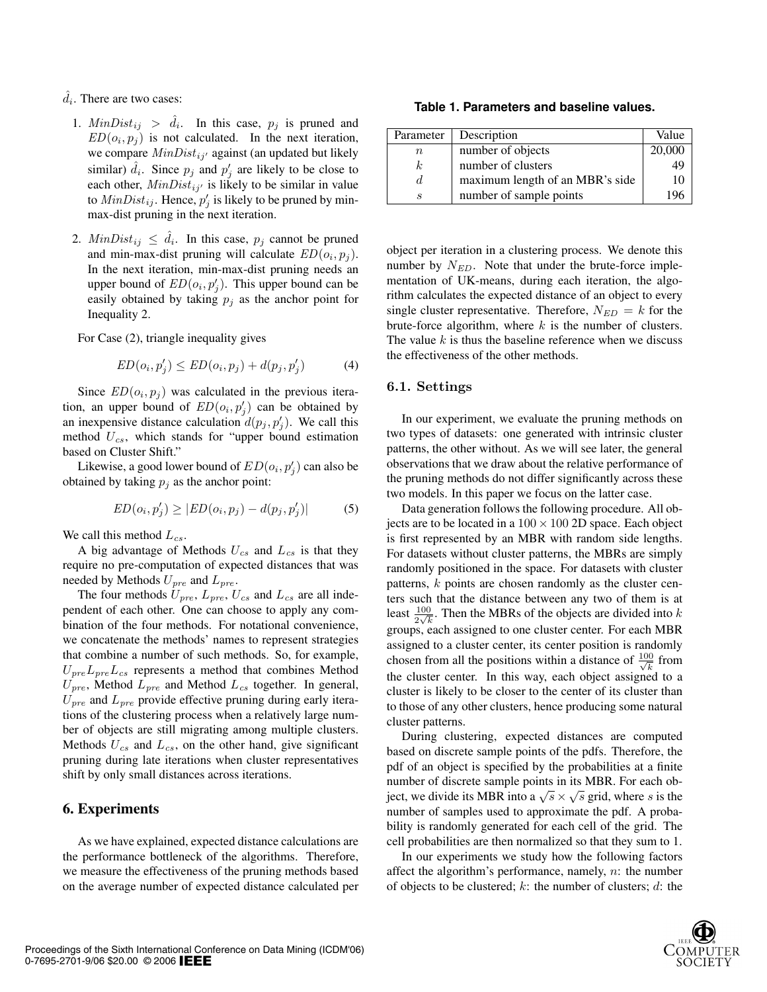# $\hat{d}_i$ . There are two cases:

- 1.  $MinDist_{ij} > \hat{d}_i$ . In this case,  $p_j$  is pruned and  $ED(o_i, p_j)$  is not calculated. In the next iteration, we compare  $MinDist_{ij}$  against (an updated but likely similar)  $\hat{d}_i$ . Since  $p_j$  and  $p'_j$  are likely to be close to each other,  $MinDist_{ij'}$  is likely to be similar in value to  $MinDist_{ij}$ . Hence,  $p'_j$  is likely to be pruned by minmax-dist pruning in the next iteration.
- 2.  $MinDist_{ij} \leq \hat{d_i}$ . In this case,  $p_j$  cannot be pruned and min-max-dist pruning will calculate  $ED(o_i, p_j)$ . In the next iteration, min-max-dist pruning needs an upper bound of  $ED(o_i, p'_j)$ . This upper bound can be easily obtained by taking  $p_j$  as the anchor point for Inequality 2.

For Case (2), triangle inequality gives

$$
ED(o_i, p'_j) \le ED(o_i, p_j) + d(p_j, p'_j) \tag{4}
$$

Since  $ED(o_i, p_j)$  was calculated in the previous iteration, an upper bound of  $ED(o_i, p'_j)$  can be obtained by an inexpensive distance calculation  $d(p_j, p'_j)$ . We call this method  $U_{cs}$ , which stands for "upper bound estimation based on Cluster Shift."

Likewise, a good lower bound of  $ED(o_i, p'_j)$  can also be obtained by taking  $p_j$  as the anchor point:

$$
ED(o_i, p'_j) \ge |ED(o_i, p_j) - d(p_j, p'_j)| \tag{5}
$$

We call this method  $L_{cs}$ .

A big advantage of Methods  $U_{cs}$  and  $L_{cs}$  is that they require no pre-computation of expected distances that was needed by Methods  $U_{pre}$  and  $L_{pre}$ .

The four methods  $U_{pre}$ ,  $L_{pre}$ ,  $U_{cs}$  and  $L_{cs}$  are all independent of each other. One can choose to apply any combination of the four methods. For notational convenience, we concatenate the methods' names to represent strategies that combine a number of such methods. So, for example,  $U_{pre}L_{pre}L_{cs}$  represents a method that combines Method  $U_{pre}$ , Method  $L_{pre}$  and Method  $L_{cs}$  together. In general,  $U_{\text{pre}}$  and  $L_{\text{pre}}$  provide effective pruning during early iterations of the clustering process when a relatively large number of objects are still migrating among multiple clusters. Methods  $U_{cs}$  and  $L_{cs}$ , on the other hand, give significant pruning during late iterations when cluster representatives shift by only small distances across iterations.

# 6. Experiments

As we have explained, expected distance calculations are the performance bottleneck of the algorithms. Therefore, we measure the effectiveness of the pruning methods based on the average number of expected distance calculated per

**Table 1. Parameters and baseline values.**

| Parameter | Description                     | Value  |
|-----------|---------------------------------|--------|
| $\, n \,$ | number of objects               | 20,000 |
| k.        | number of clusters              | 49     |
| đ.        | maximum length of an MBR's side |        |
| S         | number of sample points         |        |

object per iteration in a clustering process. We denote this number by  $N_{ED}$ . Note that under the brute-force implementation of UK-means, during each iteration, the algorithm calculates the expected distance of an object to every single cluster representative. Therefore,  $N_{ED} = k$  for the brute-force algorithm, where  $k$  is the number of clusters. The value  $k$  is thus the baseline reference when we discuss the effectiveness of the other methods.

## 6.1. Settings

In our experiment, we evaluate the pruning methods on two types of datasets: one generated with intrinsic cluster patterns, the other without. As we will see later, the general observations that we draw about the relative performance of the pruning methods do not differ significantly across these two models. In this paper we focus on the latter case.

Data generation follows the following procedure. All objects are to be located in a  $100 \times 100$  2D space. Each object is first represented by an MBR with random side lengths. For datasets without cluster patterns, the MBRs are simply randomly positioned in the space. For datasets with cluster patterns, k points are chosen randomly as the cluster centers such that the distance between any two of them is at least  $\frac{100}{2\sqrt{k}}$ . Then the MBRs of the objects are divided into k groups, each assigned to one cluster center. For each MBR assigned to a cluster center, its center position is randomly chosen from all the positions within a distance of  $\frac{100}{\sqrt{k}}$  from the cluster center. In this way, each object assigned to a cluster is likely to be closer to the center of its cluster than to those of any other clusters, hence producing some natural cluster patterns.

During clustering, expected distances are computed based on discrete sample points of the pdfs. Therefore, the pdf of an object is specified by the probabilities at a finite number of discrete sample points in its MBR. For each obmanner or discrete sample points in its MBR. For each object, we divide its MBR into a  $\sqrt{s} \times \sqrt{s}$  grid, where s is the number of samples used to approximate the pdf. A probability is randomly generated for each cell of the grid. The cell probabilities are then normalized so that they sum to 1.

In our experiments we study how the following factors affect the algorithm's performance, namely, n: the number of objects to be clustered;  $k$ : the number of clusters;  $d$ : the

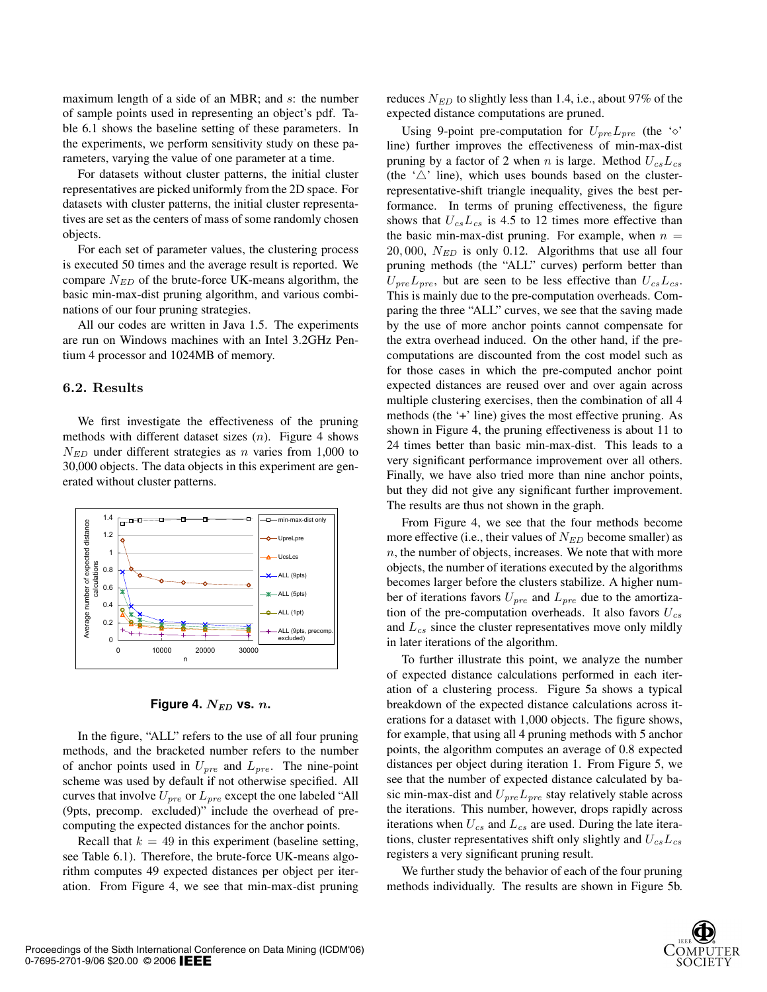maximum length of a side of an MBR; and s: the number of sample points used in representing an object's pdf. Table 6.1 shows the baseline setting of these parameters. In the experiments, we perform sensitivity study on these parameters, varying the value of one parameter at a time.

For datasets without cluster patterns, the initial cluster representatives are picked uniformly from the 2D space. For datasets with cluster patterns, the initial cluster representatives are set as the centers of mass of some randomly chosen objects.

For each set of parameter values, the clustering process is executed 50 times and the average result is reported. We compare  $N_{ED}$  of the brute-force UK-means algorithm, the basic min-max-dist pruning algorithm, and various combinations of our four pruning strategies.

All our codes are written in Java 1.5. The experiments are run on Windows machines with an Intel 3.2GHz Pentium 4 processor and 1024MB of memory.

### 6.2. Results

We first investigate the effectiveness of the pruning methods with different dataset sizes  $(n)$ . Figure 4 shows  $N_{ED}$  under different strategies as n varies from 1,000 to 30,000 objects. The data objects in this experiment are generated without cluster patterns.



#### **Figure 4.**  $N_{ED}$  vs.  $n$ .

In the figure, "ALL" refers to the use of all four pruning methods, and the bracketed number refers to the number of anchor points used in  $U_{pre}$  and  $L_{pre}$ . The nine-point scheme was used by default if not otherwise specified. All curves that involve  $U_{pre}$  or  $L_{pre}$  except the one labeled "All (9pts, precomp. excluded)" include the overhead of precomputing the expected distances for the anchor points.

Recall that  $k = 49$  in this experiment (baseline setting, see Table 6.1). Therefore, the brute-force UK-means algorithm computes 49 expected distances per object per iteration. From Figure 4, we see that min-max-dist pruning reduces  $N_{ED}$  to slightly less than 1.4, i.e., about 97% of the expected distance computations are pruned.

Using 9-point pre-computation for  $U_{pre}L_{pre}$  (the ' $\diamond$ ' line) further improves the effectiveness of min-max-dist pruning by a factor of 2 when n is large. Method  $U_{cs}L_{cs}$ (the  $'\triangle'$  line), which uses bounds based on the clusterrepresentative-shift triangle inequality, gives the best performance. In terms of pruning effectiveness, the figure shows that  $U_{cs}L_{cs}$  is 4.5 to 12 times more effective than the basic min-max-dist pruning. For example, when  $n =$  $20,000, N_{ED}$  is only 0.12. Algorithms that use all four pruning methods (the "ALL" curves) perform better than  $U_{pre}L_{pre}$ , but are seen to be less effective than  $U_{cs}L_{cs}$ . This is mainly due to the pre-computation overheads. Comparing the three "ALL" curves, we see that the saving made by the use of more anchor points cannot compensate for the extra overhead induced. On the other hand, if the precomputations are discounted from the cost model such as for those cases in which the pre-computed anchor point expected distances are reused over and over again across multiple clustering exercises, then the combination of all 4 methods (the '+' line) gives the most effective pruning. As shown in Figure 4, the pruning effectiveness is about 11 to 24 times better than basic min-max-dist. This leads to a very significant performance improvement over all others. Finally, we have also tried more than nine anchor points, but they did not give any significant further improvement. The results are thus not shown in the graph.

From Figure 4, we see that the four methods become more effective (i.e., their values of  $N_{ED}$  become smaller) as  $n$ , the number of objects, increases. We note that with more objects, the number of iterations executed by the algorithms becomes larger before the clusters stabilize. A higher number of iterations favors  $U_{pre}$  and  $L_{pre}$  due to the amortization of the pre-computation overheads. It also favors  $U_{cs}$ and  $L_{cs}$  since the cluster representatives move only mildly in later iterations of the algorithm.

To further illustrate this point, we analyze the number of expected distance calculations performed in each iteration of a clustering process. Figure 5a shows a typical breakdown of the expected distance calculations across iterations for a dataset with 1,000 objects. The figure shows, for example, that using all 4 pruning methods with 5 anchor points, the algorithm computes an average of 0.8 expected distances per object during iteration 1. From Figure 5, we see that the number of expected distance calculated by basic min-max-dist and  $U_{pre}L_{pre}$  stay relatively stable across the iterations. This number, however, drops rapidly across iterations when  $U_{cs}$  and  $L_{cs}$  are used. During the late iterations, cluster representatives shift only slightly and  $U_{cs}L_{cs}$ registers a very significant pruning result.

We further study the behavior of each of the four pruning methods individually. The results are shown in Figure 5b.

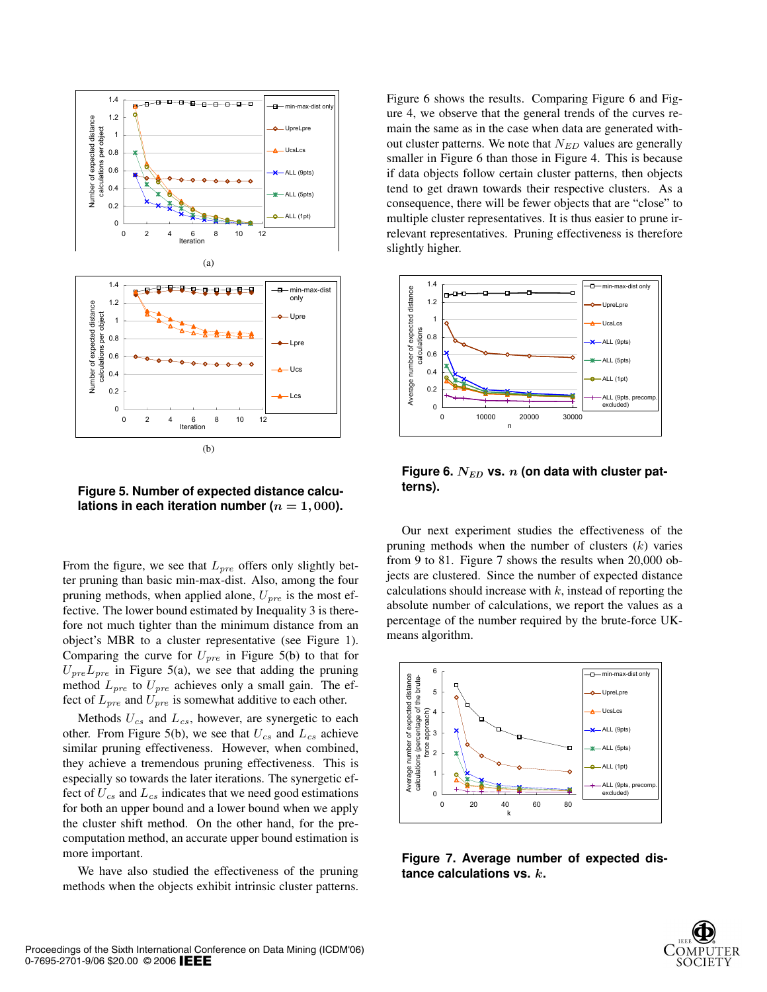

**Figure 5. Number of expected distance calcu**lations in each iteration number  $(n = 1,000)$ .

From the figure, we see that  $L_{pre}$  offers only slightly better pruning than basic min-max-dist. Also, among the four pruning methods, when applied alone,  $U_{pre}$  is the most effective. The lower bound estimated by Inequality 3 is therefore not much tighter than the minimum distance from an object's MBR to a cluster representative (see Figure 1). Comparing the curve for  $U_{pre}$  in Figure 5(b) to that for  $U_{pre}L_{pre}$  in Figure 5(a), we see that adding the pruning method  $L_{pre}$  to  $U_{pre}$  achieves only a small gain. The effect of  $L_{pre}$  and  $U_{pre}$  is somewhat additive to each other.

Methods  $U_{cs}$  and  $L_{cs}$ , however, are synergetic to each other. From Figure 5(b), we see that  $U_{cs}$  and  $L_{cs}$  achieve similar pruning effectiveness. However, when combined, they achieve a tremendous pruning effectiveness. This is especially so towards the later iterations. The synergetic effect of  $U_{cs}$  and  $L_{cs}$  indicates that we need good estimations for both an upper bound and a lower bound when we apply the cluster shift method. On the other hand, for the precomputation method, an accurate upper bound estimation is more important.

We have also studied the effectiveness of the pruning methods when the objects exhibit intrinsic cluster patterns.

Figure 6 shows the results. Comparing Figure 6 and Figure 4, we observe that the general trends of the curves remain the same as in the case when data are generated without cluster patterns. We note that  $N_{ED}$  values are generally smaller in Figure 6 than those in Figure 4. This is because if data objects follow certain cluster patterns, then objects tend to get drawn towards their respective clusters. As a consequence, there will be fewer objects that are "close" to multiple cluster representatives. It is thus easier to prune irrelevant representatives. Pruning effectiveness is therefore slightly higher.



Figure 6.  $N_{ED}$  vs. n (on data with cluster pat**terns).**

Our next experiment studies the effectiveness of the pruning methods when the number of clusters  $(k)$  varies from 9 to 81. Figure 7 shows the results when 20,000 objects are clustered. Since the number of expected distance calculations should increase with  $k$ , instead of reporting the absolute number of calculations, we report the values as a percentage of the number required by the brute-force UKmeans algorithm.



**Figure 7. Average number of expected distance calculations vs.** k**.**

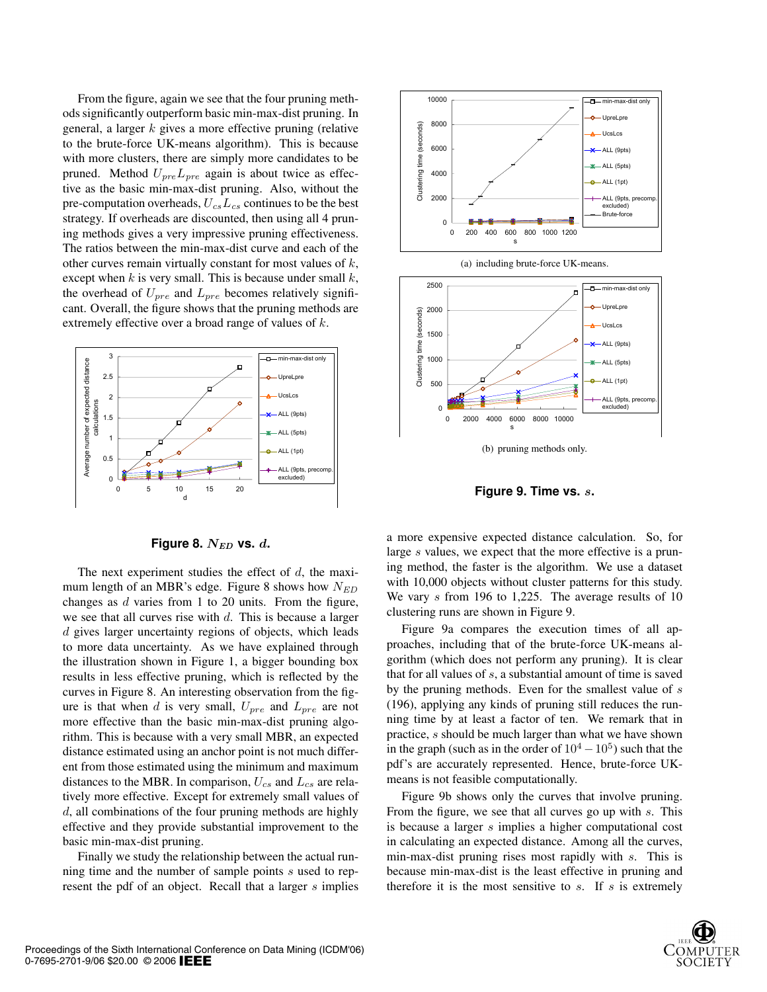From the figure, again we see that the four pruning methods significantly outperform basic min-max-dist pruning. In general, a larger  $k$  gives a more effective pruning (relative to the brute-force UK-means algorithm). This is because with more clusters, there are simply more candidates to be pruned. Method  $U_{pre}L_{pre}$  again is about twice as effective as the basic min-max-dist pruning. Also, without the pre-computation overheads,  $U_{cs}L_{cs}$  continues to be the best strategy. If overheads are discounted, then using all 4 pruning methods gives a very impressive pruning effectiveness. The ratios between the min-max-dist curve and each of the other curves remain virtually constant for most values of  $k$ , except when  $k$  is very small. This is because under small  $k$ , the overhead of  $U_{pre}$  and  $L_{pre}$  becomes relatively significant. Overall, the figure shows that the pruning methods are extremely effective over a broad range of values of k.



## **Figure 8.**  $N_{ED}$  vs. d.

The next experiment studies the effect of  $d$ , the maximum length of an MBR's edge. Figure 8 shows how  $N_{ED}$ changes as  $d$  varies from 1 to 20 units. From the figure, we see that all curves rise with d. This is because a larger d gives larger uncertainty regions of objects, which leads to more data uncertainty. As we have explained through the illustration shown in Figure 1, a bigger bounding box results in less effective pruning, which is reflected by the curves in Figure 8. An interesting observation from the figure is that when d is very small,  $U_{pre}$  and  $L_{pre}$  are not more effective than the basic min-max-dist pruning algorithm. This is because with a very small MBR, an expected distance estimated using an anchor point is not much different from those estimated using the minimum and maximum distances to the MBR. In comparison,  $U_{cs}$  and  $L_{cs}$  are relatively more effective. Except for extremely small values of d, all combinations of the four pruning methods are highly effective and they provide substantial improvement to the basic min-max-dist pruning.

Finally we study the relationship between the actual running time and the number of sample points s used to represent the pdf of an object. Recall that a larger s implies





(b) pruning methods only.

**Figure 9. Time vs.** s**.**

a more expensive expected distance calculation. So, for large s values, we expect that the more effective is a pruning method, the faster is the algorithm. We use a dataset with 10,000 objects without cluster patterns for this study. We vary *s* from 196 to 1,225. The average results of 10 clustering runs are shown in Figure 9.

Figure 9a compares the execution times of all approaches, including that of the brute-force UK-means algorithm (which does not perform any pruning). It is clear that for all values of s, a substantial amount of time is saved by the pruning methods. Even for the smallest value of s (196), applying any kinds of pruning still reduces the running time by at least a factor of ten. We remark that in practice, s should be much larger than what we have shown in the graph (such as in the order of  $10^4 - 10^5$ ) such that the pdf's are accurately represented. Hence, brute-force UKmeans is not feasible computationally.

Figure 9b shows only the curves that involve pruning. From the figure, we see that all curves go up with s. This is because a larger s implies a higher computational cost in calculating an expected distance. Among all the curves, min-max-dist pruning rises most rapidly with s. This is because min-max-dist is the least effective in pruning and therefore it is the most sensitive to  $s$ . If  $s$  is extremely